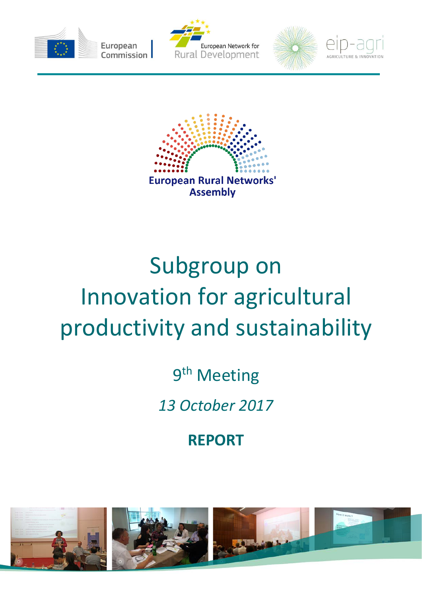









# Subgroup on Innovation for agricultural productivity and sustainability

9<sup>th</sup> Meeting

*13 October 2017*

**REPORT**

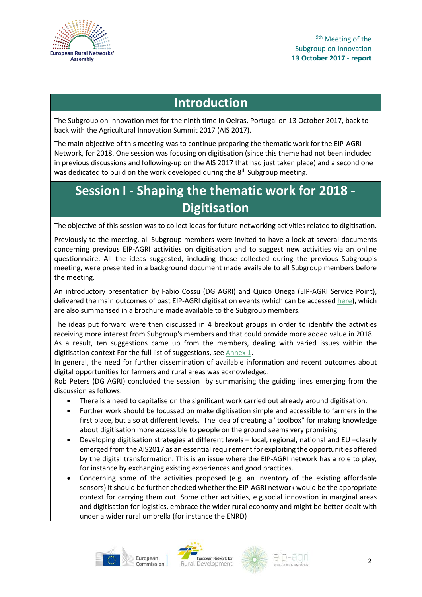

# **Introduction**

The Subgroup on Innovation met for the ninth time in Oeiras, Portugal on 13 October 2017, back to back with the Agricultural Innovation Summit 2017 (AIS 2017).

The main objective of this meeting was to continue preparing the thematic work for the EIP-AGRI Network, for 2018. One session was focusing on digitisation (since this theme had not been included in previous discussions and following-up on the AIS 2017 that had just taken place) and a second one was dedicated to build on the work developed during the 8<sup>th</sup> Subgroup meeting.

# **Session I - Shaping the thematic work for 2018 - Digitisation**

The objective of this session was to collect ideas for future networking activities related to digitisation.

Previously to the meeting, all Subgroup members were invited to have a look at several documents concerning previous EIP-AGRI activities on digitisation and to suggest new activities via an online questionnaire. All the ideas suggested, including those collected during the previous Subgroup's meeting, were presented in a background document made available to all Subgroup members before the meeting.

An introductory presentation by Fabio Cossu (DG AGRI) and Quico Onega (EIP-AGRI Service Point), delivered the main outcomes of past EIP-AGRI digitisation events (which can be accessed [here\)](https://ec.europa.eu/eip/agriculture/sites/agri-eip/files/field_event_attachments/sgi9-session-1_pres1_eip-agri_digitisation_events.pdf), which are also summarised in a brochure made available to the Subgroup members.

The ideas put forward were then discussed in 4 breakout groups in order to identify the activities receiving more interest from Subgroup's members and that could provide more added value in 2018. As a result, ten suggestions came up from the members, dealing with varied issues within the digitisation context For the full list of suggestions, se[e Annex 1.](#page-4-0)

In general, the need for further dissemination of available information and recent outcomes about digital opportunities for farmers and rural areas was acknowledged.

Rob Peters (DG AGRI) concluded the session by summarising the guiding lines emerging from the discussion as follows:

- There is a need to capitalise on the significant work carried out already around digitisation.
- Further work should be focussed on make digitisation simple and accessible to farmers in the first place, but also at different levels. The idea of creating a "toolbox" for making knowledge about digitisation more accessible to people on the ground seems very promising.
- Developing digitisation strategies at different levels local, regional, national and EU –clearly emerged from the AIS2017 as an essential requirement for exploiting the opportunities offered by the digital transformation. This is an issue where the EIP-AGRI network has a role to play, for instance by exchanging existing experiences and good practices.
- Concerning some of the activities proposed (e.g. an inventory of the existing affordable sensors) it should be further checked whether the EIP-AGRI network would be the appropriate context for carrying them out. Some other activities, e.g.social innovation in marginal areas and digitisation for logistics, embrace the wider rural economy and might be better dealt with under a wider rural umbrella (for instance the ENRD)





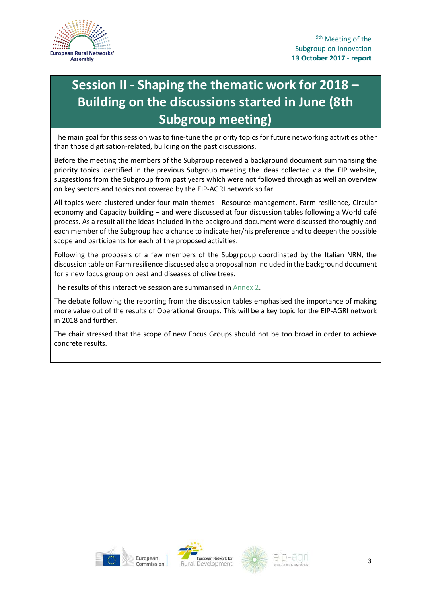

# **Session II - Shaping the thematic work for 2018 – Building on the discussions started in June (8th Subgroup meeting)**

The main goal for this session was to fine-tune the priority topics for future networking activities other than those digitisation-related, building on the past discussions.

Before the meeting the members of the Subgroup received a background document summarising the priority topics identified in the previous Subgroup meeting the ideas collected via the EIP website, suggestions from the Subgroup from past years which were not followed through as well an overview on key sectors and topics not covered by the EIP-AGRI network so far.

All topics were clustered under four main themes - Resource management, Farm resilience, Circular economy and Capacity building – and were discussed at four discussion tables following a World café process. As a result all the ideas included in the background document were discussed thoroughly and each member of the Subgroup had a chance to indicate her/his preference and to deepen the possible scope and participants for each of the proposed activities.

Following the proposals of a few members of the Subgrpoup coordinated by the Italian NRN, the discussion table on Farm resilience discussed also a proposal non included in the background document for a new focus group on pest and diseases of olive trees.

The results of this interactive session are summarised in [Annex 2.](#page-7-0)

The debate following the reporting from the discussion tables emphasised the importance of making more value out of the results of Operational Groups. This will be a key topic for the EIP-AGRI network in 2018 and further.

The chair stressed that the scope of new Focus Groups should not be too broad in order to achieve concrete results.





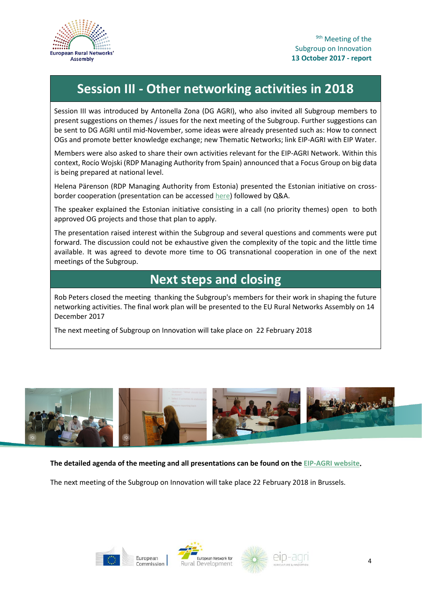

# **Session III - Other networking activities in 2018**

Session III was introduced by Antonella Zona (DG AGRI), who also invited all Subgroup members to present suggestions on themes / issues for the next meeting of the Subgroup. Further suggestions can be sent to DG AGRI until mid-November, some ideas were already presented such as: How to connect OGs and promote better knowledge exchange; new Thematic Networks; link EIP-AGRI with EIP Water.

Members were also asked to share their own activities relevant for the EIP-AGRI Network. Within this context, Rocío Wojski (RDP Managing Authority from Spain) announced that a Focus Group on big data is being prepared at national level.

Helena Pärenson (RDP Managing Authority from Estonia) presented the Estonian initiative on crossborder cooperation (presentation can be accessed [here\)](https://ec.europa.eu/eip/agriculture/sites/agri-eip/files/field_event_attachments/sgi9-session-3_pres1_crossbordercooperation_estonia.pdf) followed by Q&A.

The speaker explained the Estonian initiative consisting in a call (no priority themes) open to both approved OG projects and those that plan to apply.

The presentation raised interest within the Subgroup and several questions and comments were put forward. The discussion could not be exhaustive given the complexity of the topic and the little time available. It was agreed to devote more time to OG transnational cooperation in one of the next meetings of the Subgroup.

# **Next steps and closing**

Rob Peters closed the meeting thanking the Subgroup's members for their work in shaping the future networking activities. The final work plan will be presented to the EU Rural Networks Assembly on 14 December 2017

The next meeting of Subgroup on Innovation will take place on 22 February 2018



**The detailed agenda of the meeting and all presentations can be found on th[e EIP-AGRI website.](https://ec.europa.eu/eip/agriculture/event/9th-meeting-permanent-subgroup-innovation)**

The next meeting of the Subgroup on Innovation will take place 22 February 2018 in Brussels.







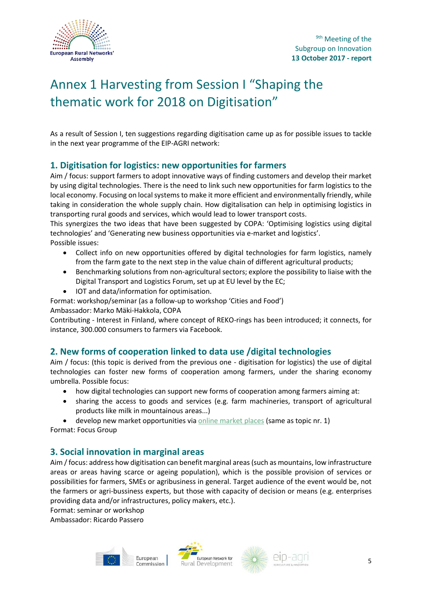

# <span id="page-4-0"></span>Annex 1 Harvesting from Session I "Shaping the thematic work for 2018 on Digitisation"

As a result of Session I, ten suggestions regarding digitisation came up as for possible issues to tackle in the next year programme of the EIP-AGRI network:

### **1. Digitisation for logistics: new opportunities for farmers**

Aim / focus: support farmers to adopt innovative ways of finding customers and develop their market by using digital technologies. There is the need to link such new opportunities for farm logistics to the local economy. Focusing on local systems to make it more efficient and environmentally friendly, while taking in consideration the whole supply chain. How digitalisation can help in optimising logistics in transporting rural goods and services, which would lead to lower transport costs.

This synergizes the two ideas that have been suggested by COPA: 'Optimising logistics using digital technologies' and 'Generating new business opportunities via e-market and logistics'. Possible issues:

- Collect info on new opportunities offered by digital technologies for farm logistics, namely from the farm gate to the next step in the value chain of different agricultural products;
- Benchmarking solutions from non-agricultural sectors; explore the possibility to liaise with the Digital Transport and Logistics Forum, set up at EU level by the EC;
- IOT and data/information for optimisation.

Format: workshop/seminar (as a follow-up to workshop 'Cities and Food')

Ambassador: Marko Mäki-Hakkola, COPA

Contributing - Interest in Finland, where concept of REKO-rings has been introduced; it connects, for instance, 300.000 consumers to farmers via Facebook.

### **2. New forms of cooperation linked to data use /digital technologies**

Aim / focus: (this topic is derived from the previous one - digitisation for logistics) the use of digital technologies can foster new forms of cooperation among farmers, under the sharing economy umbrella. Possible focus:

- how digital technologies can support new forms of cooperation among farmers aiming at:
- sharing the access to goods and services (e.g. farm machineries, transport of agricultural products like milk in mountainous areas...)
- develop new market opportunities via [online market places](https://en.wikipedia.org/wiki/Two-sided_market) (same as topic nr. 1)

Format: Focus Group

### **3. Social innovation in marginal areas**

Aim / focus: address how digitisation can benefit marginal areas (such as mountains, low infrastructure areas or areas having scarce or ageing population), which is the possible provision of services or possibilities for farmers, SMEs or agribusiness in general. Target audience of the event would be, not the farmers or agri-bussiness experts, but those with capacity of decision or means (e.g. enterprises providing data and/or infrastructures, policy makers, etc.).

Format: seminar or workshop Ambassador: Ricardo Passero





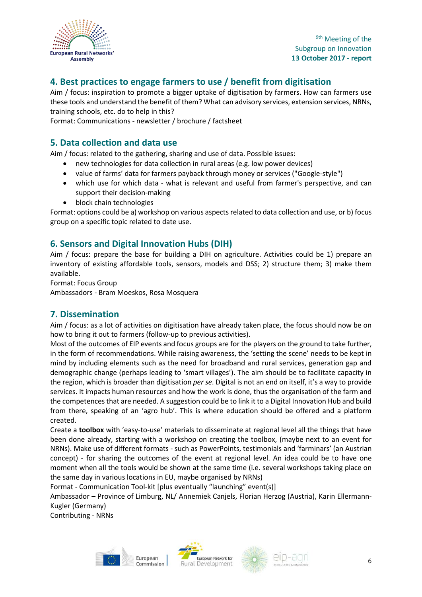

# **4. Best practices to engage farmers to use / benefit from digitisation**

Aim / focus: inspiration to promote a bigger uptake of digitisation by farmers. How can farmers use these tools and understand the benefit of them? What can advisory services, extension services, NRNs, training schools, etc. do to help in this?

Format: Communications - newsletter / brochure / factsheet

### **5. Data collection and data use**

Aim / focus: related to the gathering, sharing and use of data. Possible issues:

- new technologies for data collection in rural areas (e.g. low power devices)
- value of farms' data for farmers payback through money or services ("Google-style")
- which use for which data what is relevant and useful from farmer's perspective, and can support their decision-making
- block chain technologies

Format: options could be a) workshop on various aspects related to data collection and use, or b) focus group on a specific topic related to date use.

### **6. Sensors and Digital Innovation Hubs (DIH)**

Aim / focus: prepare the base for building a DIH on agriculture. Activities could be 1) prepare an inventory of existing affordable tools, sensors, models and DSS; 2) structure them; 3) make them available.

Format: Focus Group

Ambassadors - Bram Moeskos, Rosa Mosquera

#### **7. Dissemination**

Aim / focus: as a lot of activities on digitisation have already taken place, the focus should now be on how to bring it out to farmers (follow-up to previous activities).

Most of the outcomes of EIP events and focus groups are for the players on the ground to take further, in the form of recommendations. While raising awareness, the 'setting the scene' needs to be kept in mind by including elements such as the need for broadband and rural services, generation gap and demographic change (perhaps leading to 'smart villages'). The aim should be to facilitate capacity in the region, which is broader than digitisation *per se*. Digital is not an end on itself, it's a way to provide services. It impacts human resources and how the work is done, thus the organisation of the farm and the competences that are needed. A suggestion could be to link it to a Digital Innovation Hub and build from there, speaking of an 'agro hub'. This is where education should be offered and a platform created.

Create a **toolbox** with 'easy-to-use' materials to disseminate at regional level all the things that have been done already, starting with a workshop on creating the toolbox, (maybe next to an event for NRNs). Make use of different formats - such as PowerPoints, testimonials and 'farminars' (an Austrian concept) - for sharing the outcomes of the event at regional level. An idea could be to have one moment when all the tools would be shown at the same time (i.e. several workshops taking place on the same day in various locations in EU, maybe organised by NRNs)

Format - Communication Tool-kit [plus eventually "launching" event(s)]

Ambassador – Province of Limburg, NL/ Annemiek Canjels, Florian Herzog (Austria), Karin Ellermann-Kugler (Germany)

Contributing - NRNs



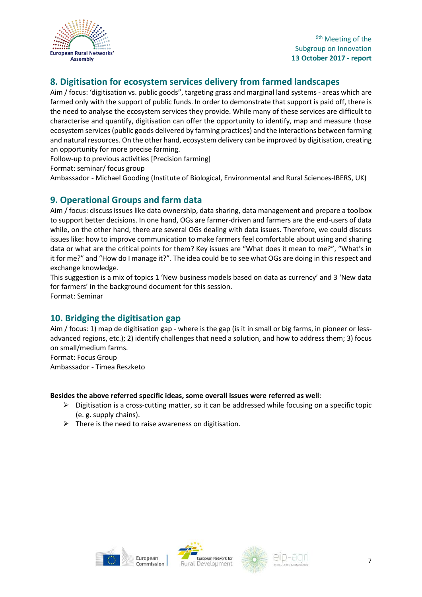

# **8. Digitisation for ecosystem services delivery from farmed landscapes**

Aim / focus: 'digitisation vs. public goods", targeting grass and marginal land systems - areas which are farmed only with the support of public funds. In order to demonstrate that support is paid off, there is the need to analyse the ecosystem services they provide. While many of these services are difficult to characterise and quantify, digitisation can offer the opportunity to identify, map and measure those ecosystem services (public goods delivered by farming practices) and the interactions between farming and natural resources. On the other hand, ecosystem delivery can be improved by digitisation, creating an opportunity for more precise farming.

Follow-up to previous activities [Precision farming]

Format: seminar/ focus group

Ambassador - Michael Gooding (Institute of Biological, Environmental and Rural Sciences-IBERS, UK)

#### **9. Operational Groups and farm data**

Aim / focus: discuss issues like data ownership, data sharing, data management and prepare a toolbox to support better decisions. In one hand, OGs are farmer-driven and farmers are the end-users of data while, on the other hand, there are several OGs dealing with data issues. Therefore, we could discuss issues like: how to improve communication to make farmers feel comfortable about using and sharing data or what are the critical points for them? Key issues are "What does it mean to me?", "What's in it for me?" and "How do I manage it?". The idea could be to see what OGs are doing in this respect and exchange knowledge.

This suggestion is a mix of topics 1 'New business models based on data as currency' and 3 'New data for farmers' in the background document for this session. Format: Seminar

### **10. Bridging the digitisation gap**

Aim / focus: 1) map de digitisation gap - where is the gap (is it in small or big farms, in pioneer or lessadvanced regions, etc.); 2) identify challenges that need a solution, and how to address them; 3) focus on small/medium farms.

Format: Focus Group Ambassador - Timea Reszketo

#### **Besides the above referred specific ideas, some overall issues were referred as well**:

- $\triangleright$  Digitisation is a cross-cutting matter, so it can be addressed while focusing on a specific topic (e. g. supply chains).
- $\triangleright$  There is the need to raise awareness on digitisation.





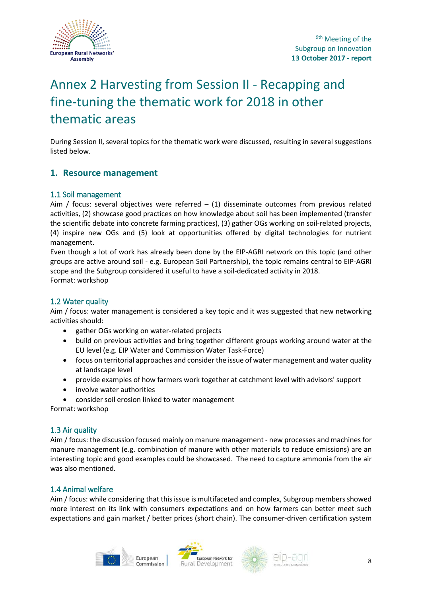

# <span id="page-7-0"></span>Annex 2 Harvesting from Session II - Recapping and fine-tuning the thematic work for 2018 in other thematic areas

During Session II, several topics for the thematic work were discussed, resulting in several suggestions listed below.

#### **1. Resource management**

#### 1.1 Soil management

Aim / focus: several objectives were referred  $-$  (1) disseminate outcomes from previous related activities, (2) showcase good practices on how knowledge about soil has been implemented (transfer the scientific debate into concrete farming practices), (3) gather OGs working on soil-related projects, (4) inspire new OGs and (5) look at opportunities offered by digital technologies for nutrient management.

Even though a lot of work has already been done by the EIP-AGRI network on this topic (and other groups are active around soil - e.g. European Soil Partnership), the topic remains central to EIP-AGRI scope and the Subgroup considered it useful to have a soil-dedicated activity in 2018. Format: workshop

#### 1.2 Water quality

Aim / focus: water management is considered a key topic and it was suggested that new networking activities should:

- gather OGs working on water-related projects
- build on previous activities and bring together different groups working around water at the EU level (e.g. EIP Water and Commission Water Task-Force)
- focus on territorial approaches and consider the issue of water management and water quality at landscape level
- provide examples of how farmers work together at catchment level with advisors' support
- involve water authorities
- consider soil erosion linked to water management

Format: workshop

#### 1.3 Air quality

Aim / focus: the discussion focused mainly on manure management - new processes and machines for manure management (e.g. combination of manure with other materials to reduce emissions) are an interesting topic and good examples could be showcased. The need to capture ammonia from the air was also mentioned.

#### 1.4 Animal welfare

Aim / focus: while considering that this issue is multifaceted and complex, Subgroup members showed more interest on its link with consumers expectations and on how farmers can better meet such expectations and gain market / better prices (short chain). The consumer-driven certification system





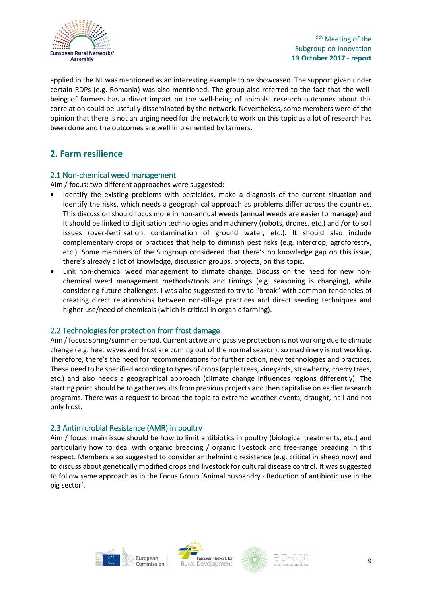

applied in the NL was mentioned as an interesting example to be showcased. The support given under certain RDPs (e.g. Romania) was also mentioned. The group also referred to the fact that the wellbeing of farmers has a direct impact on the well-being of animals: research outcomes about this correlation could be usefully disseminated by the network. Nevertheless, some members were of the opinion that there is not an urging need for the network to work on this topic as a lot of research has been done and the outcomes are well implemented by farmers.

### **2. Farm resilience**

#### 2.1 Non-chemical weed management

Aim / focus: two different approaches were suggested:

- Identify the existing problems with pesticides, make a diagnosis of the current situation and identify the risks, which needs a geographical approach as problems differ across the countries. This discussion should focus more in non-annual weeds (annual weeds are easier to manage) and it should be linked to digitisation technologies and machinery (robots, drones, etc.) and /or to soil issues (over-fertilisation, contamination of ground water, etc.). It should also include complementary crops or practices that help to diminish pest risks (e.g. intercrop, agroforestry, etc.). Some members of the Subgroup considered that there's no knowledge gap on this issue, there's already a lot of knowledge, discussion groups, projects, on this topic.
- Link non-chemical weed management to climate change. Discuss on the need for new nonchemical weed management methods/tools and timings (e.g. seasoning is changing), while considering future challenges. I was also suggested to try to "break" with common tendencies of creating direct relationships between non-tillage practices and direct seeding techniques and higher use/need of chemicals (which is critical in organic farming).

#### 2.2 Technologies for protection from frost damage

Aim / focus: spring/summer period. Current active and passive protection is not working due to climate change (e.g. heat waves and frost are coming out of the normal season), so machinery is not working. Therefore, there's the need for recommendations for further action, new technologies and practices. These need to be specified according to types of crops (apple trees, vineyards, strawberry, cherry trees, etc.) and also needs a geographical approach (climate change influences regions differently). The starting point should be to gather results from previous projects and then capitalise on earlier research programs. There was a request to broad the topic to extreme weather events, draught, hail and not only frost.

#### 2.3 Antimicrobial Resistance (AMR) in poultry

Aim / focus: main issue should be how to limit antibiotics in poultry (biological treatments, etc.) and particularly how to deal with organic breading / organic livestock and free-range breading in this respect. Members also suggested to consider anthelmintic resistance (e.g. critical in sheep now) and to discuss about genetically modified crops and livestock for cultural disease control. It was suggested to follow same approach as in the Focus Group 'Animal husbandry - Reduction of antibiotic use in the pig sector'.





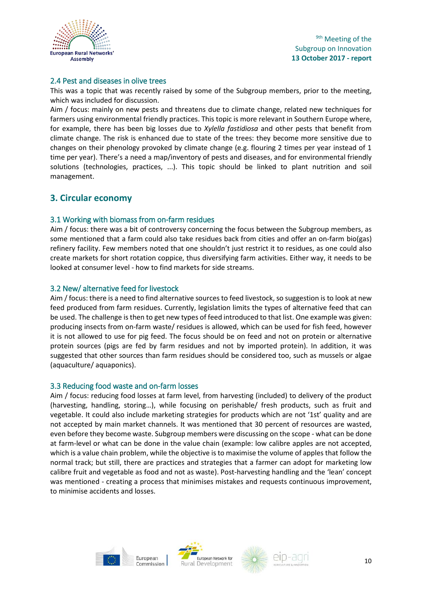

#### 2.4 Pest and diseases in olive trees

This was a topic that was recently raised by some of the Subgroup members, prior to the meeting, which was included for discussion.

Aim / focus: mainly on new pests and threatens due to climate change, related new techniques for farmers using environmental friendly practices. This topic is more relevant in Southern Europe where, for example, there has been big losses due to *Xylella fastidiosa* and other pests that benefit from climate change. The risk is enhanced due to state of the trees: they become more sensitive due to changes on their phenology provoked by climate change (e.g. flouring 2 times per year instead of 1 time per year). There's a need a map/inventory of pests and diseases, and for environmental friendly solutions (technologies, practices, ...). This topic should be linked to plant nutrition and soil management.

#### **3. Circular economy**

#### 3.1 Working with biomass from on-farm residues

Aim / focus: there was a bit of controversy concerning the focus between the Subgroup members, as some mentioned that a farm could also take residues back from cities and offer an on-farm bio(gas) refinery facility. Few members noted that one shouldn't just restrict it to residues, as one could also create markets for short rotation coppice, thus diversifying farm activities. Either way, it needs to be looked at consumer level - how to find markets for side streams.

#### 3.2 New/ alternative feed for livestock

Aim / focus: there is a need to find alternative sources to feed livestock, so suggestion is to look at new feed produced from farm residues. Currently, legislation limits the types of alternative feed that can be used. The challenge is then to get new types of feed introduced to that list. One example was given: producing insects from on-farm waste/ residues is allowed, which can be used for fish feed, however it is not allowed to use for pig feed. The focus should be on feed and not on protein or alternative protein sources (pigs are fed by farm residues and not by imported protein). In addition, it was suggested that other sources than farm residues should be considered too, such as mussels or algae (aquaculture/ aquaponics).

#### 3.3 Reducing food waste and on-farm losses

Aim / focus: reducing food losses at farm level, from harvesting (included) to delivery of the product (harvesting, handling, storing…), while focusing on perishable/ fresh products, such as fruit and vegetable. It could also include marketing strategies for products which are not '1st' quality and are not accepted by main market channels. It was mentioned that 30 percent of resources are wasted, even before they become waste. Subgroup members were discussing on the scope - what can be done at farm-level or what can be done in the value chain (example: low calibre apples are not accepted, which is a value chain problem, while the objective is to maximise the volume of apples that follow the normal track; but still, there are practices and strategies that a farmer can adopt for marketing low calibre fruit and vegetable as food and not as waste). Post-harvesting handling and the 'lean' concept was mentioned - creating a process that minimises mistakes and requests continuous improvement, to minimise accidents and losses.